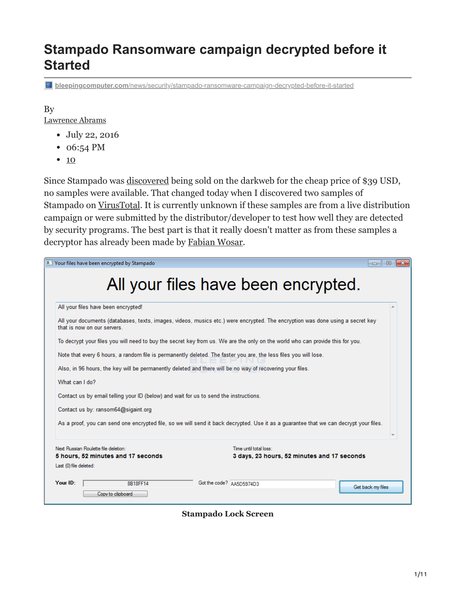# **Stampado Ransomware campaign decrypted before it Started**

**bleepingcomputer.com**[/news/security/stampado-ransomware-campaign-decrypted-before-it-started](https://www.bleepingcomputer.com/news/security/stampado-ransomware-campaign-decrypted-before-it-started/)

### By

[Lawrence Abrams](https://www.bleepingcomputer.com/author/lawrence-abrams/)

- July 22, 2016
- 06:54 PM
- $\cdot$  [10](#page-6-0)

Since Stampado was [discovered](https://heimdalsecurity.com/blog/security-alert-stampado-ransomware-on-sale/) being sold on the darkweb for the cheap price of \$39 USD, no samples were available. That changed today when I discovered two samples of Stampado on [VirusTotal](https://www.virustotal.com/en/file/342933cb4cbb31a2c30ac1733afc318a6e5cd0226160a59197686d635ec71b20/analysis/). It is currently unknown if these samples are from a live distribution campaign or were submitted by the distributor/developer to test how well they are detected by security programs. The best part is that it really doesn't matter as from these samples a decryptor has already been made by [Fabian Wosar](https://twitter.com/fwosar).

| Vour files have been encrypted by Stampado<br>回<br>-23<br>$\Box$                                                                                                              |
|-------------------------------------------------------------------------------------------------------------------------------------------------------------------------------|
| All your files have been encrypted.                                                                                                                                           |
| All your files have been encrypted!                                                                                                                                           |
| All your documents (databases, texts, images, videos, musics etc.) were encrypted. The encryption was done using a secret key<br>that is now on our servers.                  |
| To decrypt your files you will need to buy the secret key from us. We are the only on the world who can provide this for you.                                                 |
| Note that every 6 hours, a random file is permanently deleted. The faster you are, the less files you will lose.                                                              |
| Also, in 96 hours, the key will be permanently deleted and there will be no way of recovering your files.                                                                     |
| What can I do?                                                                                                                                                                |
| Contact us by email telling your ID (below) and wait for us to send the instructions.                                                                                         |
| Contact us by: ransom64@sigaint.org                                                                                                                                           |
| As a proof, you can send one encrypted file, so we will send it back decrypted. Use it as a guarantee that we can decrypt your files.                                         |
| Time until total loss:<br>Next Russian Roulette file deletion:<br>3 days, 23 hours, 52 minutes and 17 seconds<br>5 hours, 52 minutes and 17 seconds<br>Last (0) file deleted: |
| Your ID:<br>Got the code? AA5D5974D3<br>8B18FF14<br>Get back my files<br>Copy to clipboard                                                                                    |

**Stampado Lock Screen**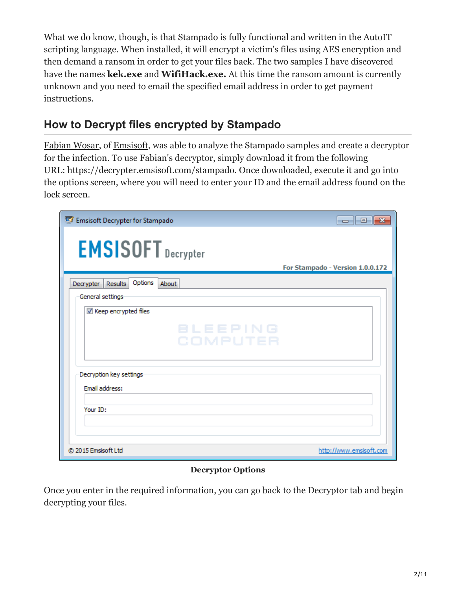What we do know, though, is that Stampado is fully functional and written in the AutoIT scripting language. When installed, it will encrypt a victim's files using AES encryption and then demand a ransom in order to get your files back. The two samples I have discovered have the names **kek.exe** and **WifiHack.exe.** At this time the ransom amount is currently unknown and you need to email the specified email address in order to get payment instructions.

## **How to Decrypt files encrypted by Stampado**

[Fabian Wosar,](https://twitter.com/fwosar) of [Emsisoft](http://www.emsisoft.com/), was able to analyze the Stampado samples and create a decryptor for the infection. To use Fabian's decryptor, simply download it from the following URL: [https://decrypter.emsisoft.com/stampado.](https://decrypter.emsisoft.com/stampado) Once downloaded, execute it and go into the options screen, where you will need to enter your ID and the email address found on the lock screen.

| ET Emsisoft Decrypter for Stampado        | $\begin{array}{c c c c c c} \hline \multicolumn{3}{c }{\mathbf{C}} & \multicolumn{3}{c }{\mathbf{X}} \end{array}$ |
|-------------------------------------------|-------------------------------------------------------------------------------------------------------------------|
| <b>EMSISOFT</b> Decrypter                 |                                                                                                                   |
|                                           | For Stampado - Version 1.0.0.172                                                                                  |
| Options<br>Results<br>About<br>Decrypter  |                                                                                                                   |
| General settings                          |                                                                                                                   |
| Keep encrypted files                      |                                                                                                                   |
| <b>BLEEPING</b><br>COMPUTER               |                                                                                                                   |
| Decryption key settings<br>Email address: |                                                                                                                   |
| Your ID:                                  |                                                                                                                   |
| C 2015 Emsisoft Ltd                       | http://www.emsisoft.com                                                                                           |

#### **Decryptor Options**

Once you enter in the required information, you can go back to the Decryptor tab and begin decrypting your files.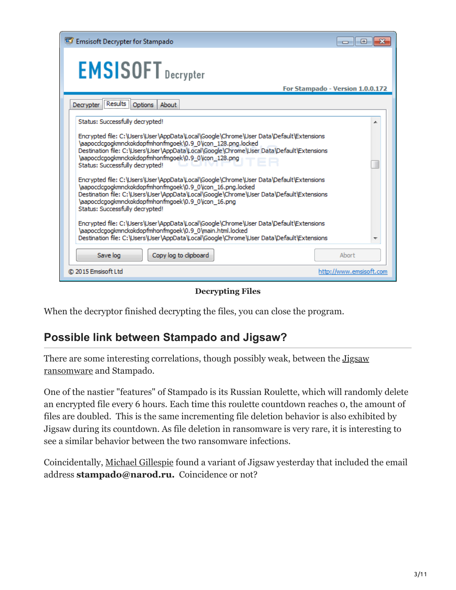| Ensisoft Decrypter for Stampado                                                                                                                                                                                                                                                                                                                                                                                                                                                                                                                                                                                                                                                            | 同                                |
|--------------------------------------------------------------------------------------------------------------------------------------------------------------------------------------------------------------------------------------------------------------------------------------------------------------------------------------------------------------------------------------------------------------------------------------------------------------------------------------------------------------------------------------------------------------------------------------------------------------------------------------------------------------------------------------------|----------------------------------|
| <b>EMSISOFT</b> Decrypter                                                                                                                                                                                                                                                                                                                                                                                                                                                                                                                                                                                                                                                                  | For Stampado - Version 1.0.0.172 |
| Decrypter Results Options<br>About                                                                                                                                                                                                                                                                                                                                                                                                                                                                                                                                                                                                                                                         |                                  |
| Status: Successfully decrypted!                                                                                                                                                                                                                                                                                                                                                                                                                                                                                                                                                                                                                                                            |                                  |
| Encrypted file: C:\Users\User\AppData\Local\Google\Chrome\User Data\Default\Extensions<br>\aapocclcgogkmnckokdopfmhonfmgoek\0.9_0\icon_128.png.locked<br>Destination file: C:\Users\User\AppData\Local\Google\Chrome\User Data\Default\Extensions<br>\aapocclcgogkmnckokdopfmhonfmgoek\0.9_0\icon_128.png<br>Status: Successfully decrypted!<br>Encrypted file: C:\Users\User\AppData\Local\Google\Chrome\User Data\Default\Extensions<br>\aapocclcgogkmnckokdopfmhonfmgoek\0.9_0\icon_16.png.locked<br>Destination file: C:\Users\User\AppData\Local\Google\Chrome\User Data\Default\Extensions<br>\aapocclcgogkmnckokdopfmhonfmgoek\0.9_0\icon_16.png<br>Status: Successfully decrypted! |                                  |
| Encrypted file: C:\Users\User\AppData\Local\Google\Chrome\User Data\Default\Extensions<br>\aapocclcgogkmnckokdopfmhonfmgoek\0.9_0\main.html.locked<br>Destination file: C:\Users\User\AppData\Local\Google\Chrome\User Data\Default\Extensions                                                                                                                                                                                                                                                                                                                                                                                                                                             | Abort                            |
| Save log<br>Copy log to clipboard<br>© 2015 Emsisoft Ltd                                                                                                                                                                                                                                                                                                                                                                                                                                                                                                                                                                                                                                   | http://www.emsisoft.com          |
|                                                                                                                                                                                                                                                                                                                                                                                                                                                                                                                                                                                                                                                                                            |                                  |

#### **Decrypting Files**

When the decryptor finished decrypting the files, you can close the program.

### **Possible link between Stampado and Jigsaw?**

There are some interesting correlations, though possibly weak, between the **Jigsaw** ransomware and Stampado.

One of the nastier "features" of Stampado is its Russian Roulette, which will randomly delete an encrypted file every 6 hours. Each time this roulette countdown reaches 0, the amount of files are doubled. This is the same incrementing file deletion behavior is also exhibited by Jigsaw during its countdown. As file deletion in ransomware is very rare, it is interesting to see a similar behavior between the two ransomware infections.

Coincidentally, [Michael Gillespie](https://twitter.com/demonslay335) found a variant of Jigsaw yesterday that included the email address **stampado@narod.ru.** Coincidence or not?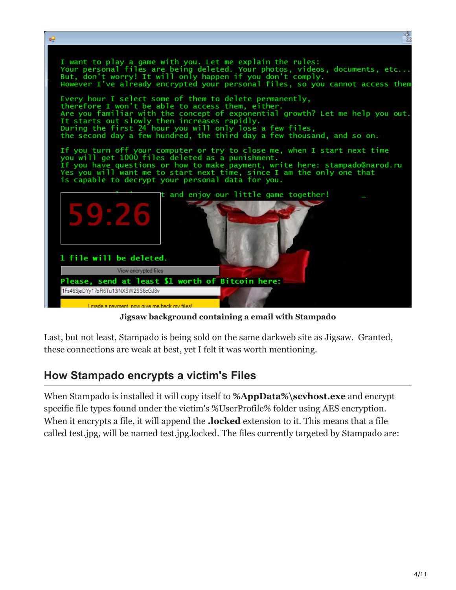

**Jigsaw background containing a email with Stampado**

Last, but not least, Stampado is being sold on the same darkweb site as Jigsaw. Granted, these connections are weak at best, yet I felt it was worth mentioning.

### **How Stampado encrypts a victim's Files**

When Stampado is installed it will copy itself to **%AppData%\scvhost.exe** and encrypt specific file types found under the victim's %UserProfile% folder using AES encryption. When it encrypts a file, it will append the **.locked** extension to it. This means that a file called test.jpg, will be named test.jpg.locked. The files currently targeted by Stampado are: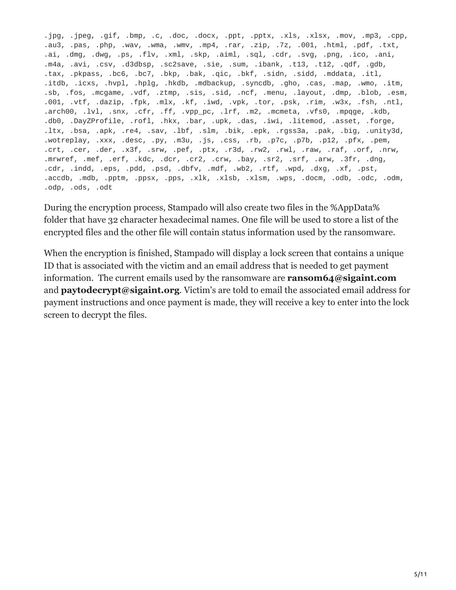.jpg, .jpeg, .gif, .bmp, .c, .doc, .docx, .ppt, .pptx, .xls, .xlsx, .mov, .mp3, .cpp, .au3, .pas, .php, .wav, .wma, .wmv, .mp4, .rar, .zip, .7z, .001, .html, .pdf, .txt, .ai, .dmg, .dwg, .ps, .flv, .xml, .skp, .aiml, .sql, .cdr, .svg, .png, .ico, .ani, .m4a, .avi, .csv, .d3dbsp, .sc2save, .sie, .sum, .ibank, .t13, .t12, .qdf, .gdb, .tax, .pkpass, .bc6, .bc7, .bkp, .bak, .qic, .bkf, .sidn, .sidd, .mddata, .itl, .itdb, .icxs, .hvpl, .hplg, .hkdb, .mdbackup, .syncdb, .gho, .cas, .map, .wmo, .itm, .sb, .fos, .mcgame, .vdf, .ztmp, .sis, .sid, .ncf, .menu, .layout, .dmp, .blob, .esm, .001, .vtf, .dazip, .fpk, .mlx, .kf, .iwd, .vpk, .tor, .psk, .rim, .w3x, .fsh, .ntl, .arch00, .lvl, .snx, .cfr, .ff, .vpp\_pc, .lrf, .m2, .mcmeta, .vfs0, .mpqge, .kdb, .db0, .DayZProfile, .rofl, .hkx, .bar, .upk, .das, .iwi, .litemod, .asset, .forge, .ltx, .bsa, .apk, .re4, .sav, .lbf, .slm, .bik, .epk, .rgss3a, .pak, .big, .unity3d, .wotreplay, .xxx, .desc, .py, .m3u, .js, .css, .rb, .p7c, .p7b, .p12, .pfx, .pem, .crt, .cer, .der, .x3f, .srw, .pef, .ptx, .r3d, .rw2, .rwl, .raw, .raf, .orf, .nrw, .mrwref, .mef, .erf, .kdc, .dcr, .cr2, .crw, .bay, .sr2, .srf, .arw, .3fr, .dng, .cdr, .indd, .eps, .pdd, .psd, .dbfv, .mdf, .wb2, .rtf, .wpd, .dxg, .xf, .pst, .accdb, .mdb, .pptm, .ppsx, .pps, .xlk, .xlsb, .xlsm, .wps, .docm, .odb, .odc, .odm, .odp, .ods, .odt

During the encryption process, Stampado will also create two files in the %AppData% folder that have 32 character hexadecimal names. One file will be used to store a list of the encrypted files and the other file will contain status information used by the ransomware.

When the encryption is finished, Stampado will display a lock screen that contains a unique ID that is associated with the victim and an email address that is needed to get payment information. The current emails used by the ransomware are **ransom64@sigaint.com** and **paytodecrypt@sigaint.org**. Victim's are told to email the associated email address for payment instructions and once payment is made, they will receive a key to enter into the lock screen to decrypt the files.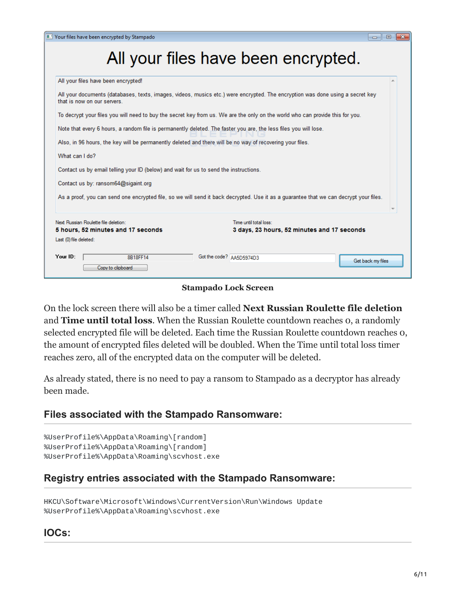| Vour files have been encrypted by Stampado                                                                       | 回                                                                                                                                     |
|------------------------------------------------------------------------------------------------------------------|---------------------------------------------------------------------------------------------------------------------------------------|
|                                                                                                                  | All your files have been encrypted.                                                                                                   |
| All your files have been encrypted!                                                                              |                                                                                                                                       |
| that is now on our servers.                                                                                      | All your documents (databases, texts, images, videos, musics etc.) were encrypted. The encryption was done using a secret key         |
|                                                                                                                  | To decrypt your files you will need to buy the secret key from us. We are the only on the world who can provide this for you.         |
| Note that every 6 hours, a random file is permanently deleted. The faster you are, the less files you will lose. |                                                                                                                                       |
| Also, in 96 hours, the key will be permanently deleted and there will be no way of recovering your files.        |                                                                                                                                       |
| What can I do?                                                                                                   |                                                                                                                                       |
| Contact us by email telling your ID (below) and wait for us to send the instructions.                            |                                                                                                                                       |
| Contact us by: ransom64@sigaint.org                                                                              |                                                                                                                                       |
|                                                                                                                  | As a proof, you can send one encrypted file, so we will send it back decrypted. Use it as a guarantee that we can decrypt your files. |
| Next Russian Roulette file deletion:                                                                             | Time until total loss:                                                                                                                |
| 5 hours, 52 minutes and 17 seconds<br>Last (0) file deleted:                                                     | 3 days, 23 hours, 52 minutes and 17 seconds                                                                                           |
|                                                                                                                  |                                                                                                                                       |
| Your ID:<br>8B18FF14<br>Copy to clipboard                                                                        | Got the code? AA5D5974D3<br>Get back my files                                                                                         |
|                                                                                                                  |                                                                                                                                       |

**Stampado Lock Screen**

On the lock screen there will also be a timer called **Next Russian Roulette file deletion** and **Time until total loss**. When the Russian Roulette countdown reaches 0, a randomly selected encrypted file will be deleted. Each time the Russian Roulette countdown reaches 0, the amount of encrypted files deleted will be doubled. When the Time until total loss timer reaches zero, all of the encrypted data on the computer will be deleted.

As already stated, there is no need to pay a ransom to Stampado as a decryptor has already been made.

### **Files associated with the Stampado Ransomware:**

```
%UserProfile%\AppData\Roaming\[random]
%UserProfile%\AppData\Roaming\[random]
%UserProfile%\AppData\Roaming\scvhost.exe
```
### **Registry entries associated with the Stampado Ransomware:**

```
HKCU\Software\Microsoft\Windows\CurrentVersion\Run\Windows Update
%UserProfile%\AppData\Roaming\scvhost.exe
```
#### **IOCs:**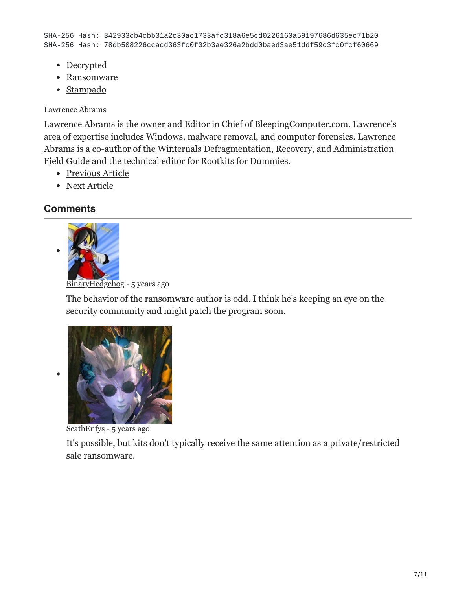SHA-256 Hash: 342933cb4cbb31a2c30ac1733afc318a6e5cd0226160a59197686d635ec71b20 SHA-256 Hash: 78db508226ccacd363fc0f02b3ae326a2bdd0baed3ae51ddf59c3fc0fcf60669

- [Decrypted](https://www.bleepingcomputer.com/tag/decrypted/)
- [Ransomware](https://www.bleepingcomputer.com/tag/ransomware/)
- [Stampado](https://www.bleepingcomputer.com/tag/stampado/)

#### [Lawrence Abrams](https://www.bleepingcomputer.com/author/lawrence-abrams/)

Lawrence Abrams is the owner and Editor in Chief of BleepingComputer.com. Lawrence's area of expertise includes Windows, malware removal, and computer forensics. Lawrence Abrams is a co-author of the Winternals Defragmentation, Recovery, and Administration Field Guide and the technical editor for Rootkits for Dummies.

- [Previous Article](https://www.bleepingcomputer.com/offer/deals/new-offer-96-percent-off-the-ultimate-comptia-certification-bundle/)
- [Next Article](https://www.bleepingcomputer.com/news/security/the-week-in-ransomware-july-22-2016-stampado-bart-holycrypt-and-more/)

### <span id="page-6-0"></span>**Comments**



[BinaryHedgehog](https://www.bleepingcomputer.com/forums/u/1009490/binaryhedgehog/) - 5 years ago

The behavior of the ransomware author is odd. I think he's keeping an eye on the security community and might patch the program soon.



[ScathEnfys](https://www.bleepingcomputer.com/forums/u/983120/scathenfys/) - 5 years ago

It's possible, but kits don't typically receive the same attention as a private/restricted sale ransomware.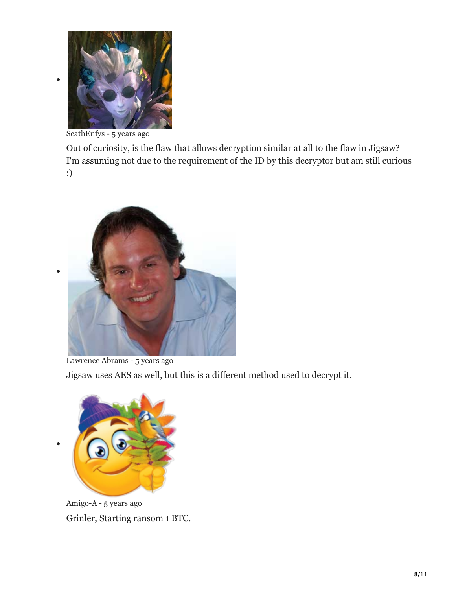

[ScathEnfys](https://www.bleepingcomputer.com/forums/u/983120/scathenfys/) - 5 years ago

Out of curiosity, is the flaw that allows decryption similar at all to the flaw in Jigsaw? I'm assuming not due to the requirement of the ID by this decryptor but am still curious :)



[Lawrence Abrams](https://www.bleepingcomputer.com/author/lawrence-abrams/) - 5 years ago Jigsaw uses AES as well, but this is a different method used to decrypt it.



[Amigo-A](https://www.bleepingcomputer.com/forums/u/998576/amigo-a/) - 5 years ago Grinler, Starting ransom 1 BTC.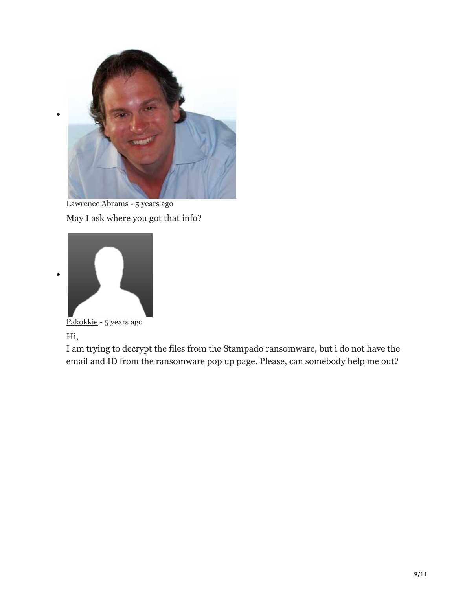

[Lawrence Abrams](https://www.bleepingcomputer.com/author/lawrence-abrams/) - 5 years ago May I ask where you got that info?



[Pakokkie](https://www.bleepingcomputer.com/forums/u/1011587/pakokkie/) - 5 years ago

Hi,

 $\bullet$ 

I am trying to decrypt the files from the Stampado ransomware, but i do not have the email and ID from the ransomware pop up page. Please, can somebody help me out?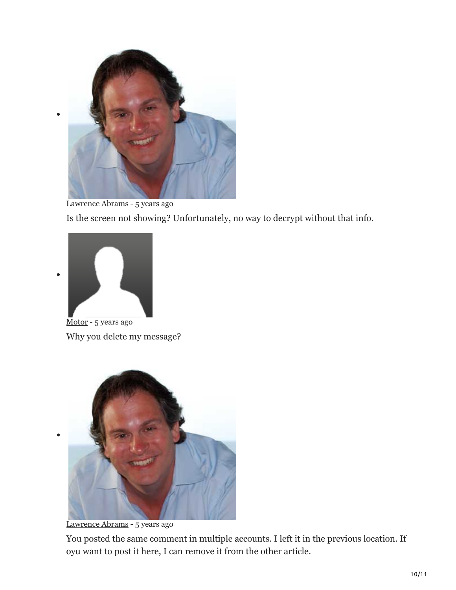

[Lawrence Abrams](https://www.bleepingcomputer.com/author/lawrence-abrams/) - 5 years ago

Is the screen not showing? Unfortunately, no way to decrypt without that info.



 $\bullet$ 

[Motor](https://www.bleepingcomputer.com/forums/u/1015244/motor/) - 5 years ago Why you delete my message?



[Lawrence Abrams](https://www.bleepingcomputer.com/author/lawrence-abrams/) - 5 years ago

You posted the same comment in multiple accounts. I left it in the previous location. If oyu want to post it here, I can remove it from the other article.